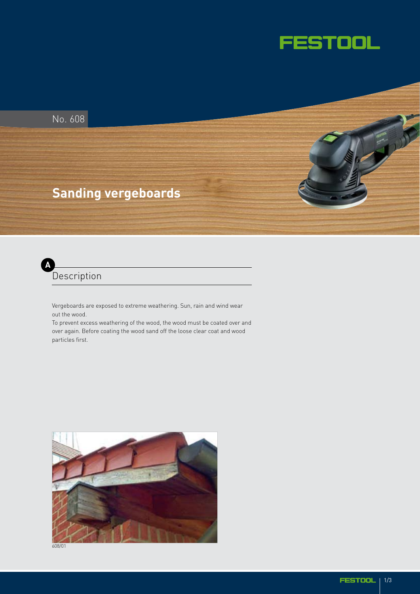



**Description A**

> Vergeboards are exposed to extreme weathering. Sun, rain and wind wear out the wood.

To prevent excess weathering of the wood, the wood must be coated over and over again. Before coating the wood sand off the loose clear coat and wood particles first.



608/01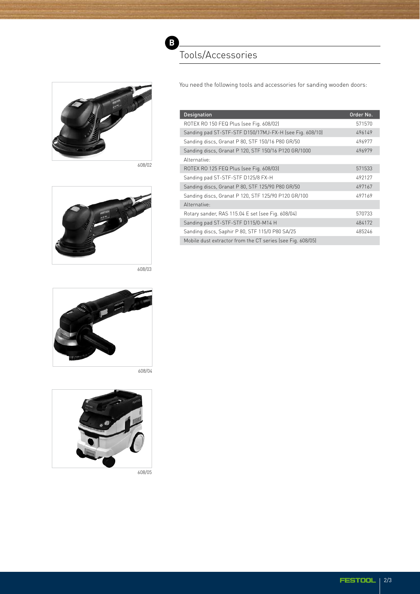

608/02



608/03



608/04



608/05

## Tools/Accessories

**B**

You need the following tools and accessories for sanding wooden doors:

| <b>Designation</b>                                         | Order No. |
|------------------------------------------------------------|-----------|
| ROTEX RO 150 FEQ Plus (see Fig. 608/02)                    | 571570    |
| Sanding pad ST-STF-STF D150/17MJ-FX-H (see Fig. 608/10)    | 496149    |
| Sanding discs, Granat P 80, STF 150/16 P80 GR/50           | 496977    |
| Sanding discs, Granat P 120, STF 150/16 P120 GR/1000       | 496979    |
| Alternative:                                               |           |
| ROTEX RO 125 FEQ Plus (see Fig. 608/03)                    | 571533    |
| Sanding pad ST-STF-STF D125/8 FX-H                         | 492127    |
| Sanding discs, Granat P 80, STF 125/90 P80 GR/50           | 497167    |
| Sanding discs, Granat P 120, STF 125/90 P120 GR/100        | 497169    |
| Alternative:                                               |           |
| Rotary sander, RAS 115.04 E set (see Fig. 608/04)          | 570733    |
| Sanding pad ST-STF-STF D115/0-M14 H                        | 484172    |
| Sanding discs, Saphir P 80, STF 115/0 P80 SA/25            | 485246    |
| Mobile dust extractor from the CT series (see Fig. 608/05) |           |